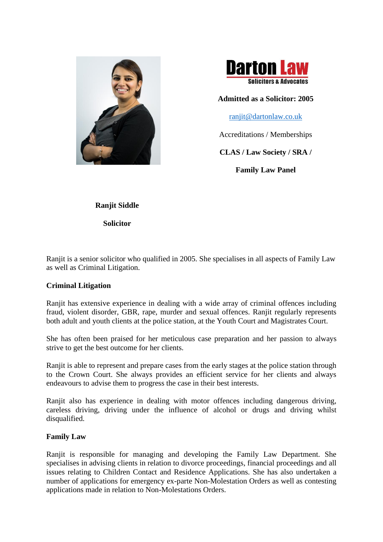



**Admitted as a Solicitor: 2005**

[ranjit@dartonlaw.co.uk](mailto:ranjit@dartonlaw.co.uk)

Accreditations / Memberships

**CLAS / Law Society / SRA /**

**Family Law Panel**

## **Ranjit Siddle**

**Solicitor**

Ranjit is a senior solicitor who qualified in 2005. She specialises in all aspects of Family Law as well as Criminal Litigation.

## **Criminal Litigation**

Ranjit has extensive experience in dealing with a wide array of criminal offences including fraud, violent disorder, GBR, rape, murder and sexual offences. Ranjit regularly represents both adult and youth clients at the police station, at the Youth Court and Magistrates Court.

She has often been praised for her meticulous case preparation and her passion to always strive to get the best outcome for her clients.

Ranjit is able to represent and prepare cases from the early stages at the police station through to the Crown Court. She always provides an efficient service for her clients and always endeavours to advise them to progress the case in their best interests.

Ranjit also has experience in dealing with motor offences including dangerous driving, careless driving, driving under the influence of alcohol or drugs and driving whilst disqualified.

## **Family Law**

Ranjit is responsible for managing and developing the Family Law Department. She specialises in advising clients in relation to divorce proceedings, financial proceedings and all issues relating to Children Contact and Residence Applications. She has also undertaken a number of applications for emergency ex-parte Non-Molestation Orders as well as contesting applications made in relation to Non-Molestations Orders.